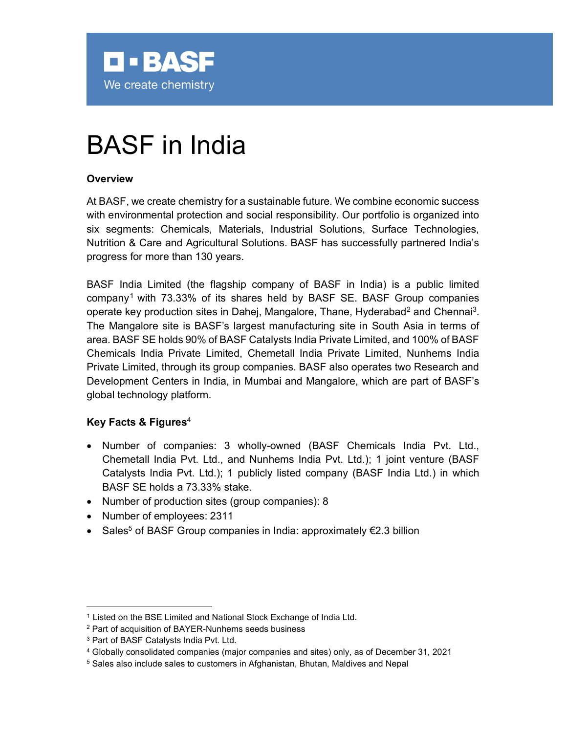

# BASF in India

#### **Overview**

At BASF, we create chemistry for a sustainable future. We combine economic success with environmental protection and social responsibility. Our portfolio is organized into six segments: Chemicals, Materials, Industrial Solutions, Surface Technologies, Nutrition & Care and Agricultural Solutions. BASF has successfully partnered India's progress for more than 130 years.

BASF India Limited (the flagship company of BASF in India) is a public limited company<sup>1</sup> with 73.33% of its shares held by BASF SE. BASF Group companies operate key production sites in Dahej, Mangalore, Thane, Hyderabad<sup>2</sup> and Chennai<sup>3</sup>. The Mangalore site is BASF's largest manufacturing site in South Asia in terms of area. BASF SE holds 90% of BASF Catalysts India Private Limited, and 100% of BASF Chemicals India Private Limited, Chemetall India Private Limited, Nunhems India Private Limited, through its group companies. BASF also operates two Research and Development Centers in India, in Mumbai and Mangalore, which are part of BASF's global technology platform.

#### Key Facts & Figures<sup>4</sup>

- Number of companies: 3 wholly-owned (BASF Chemicals India Pvt. Ltd., Chemetall India Pvt. Ltd., and Nunhems India Pvt. Ltd.); 1 joint venture (BASF Catalysts India Pvt. Ltd.); 1 publicly listed company (BASF India Ltd.) in which BASF SE holds a 73.33% stake.
- Number of production sites (group companies): 8
- Number of employees: 2311
- Sales<sup>5</sup> of BASF Group companies in India: approximately €2.3 billion

<sup>&</sup>lt;sup>1</sup> Listed on the BSE Limited and National Stock Exchange of India Ltd.

<sup>2</sup> Part of acquisition of BAYER-Nunhems seeds business

<sup>3</sup> Part of BASF Catalysts India Pvt. Ltd.

<sup>4</sup> Globally consolidated companies (major companies and sites) only, as of December 31, 2021

 $^5$  Sales also include sales to customers in Afghanistan, Bhutan, Maldives and Nepal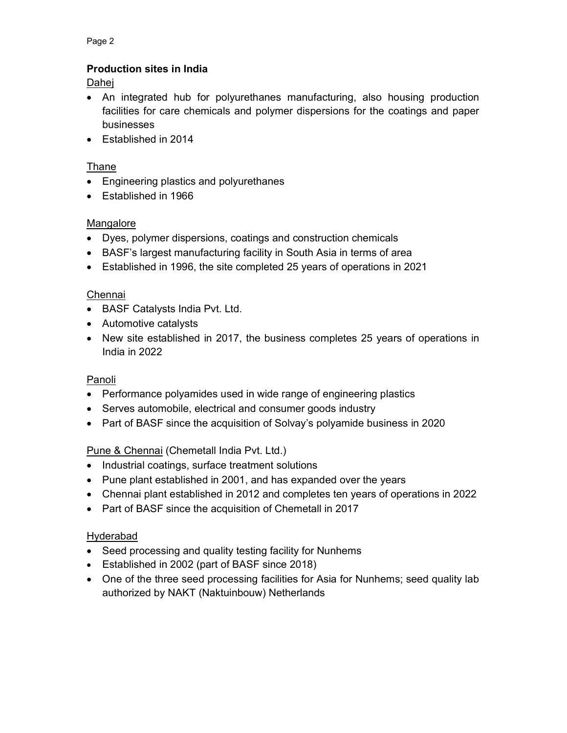Page 2

## Production sites in India

Dahej

- An integrated hub for polyurethanes manufacturing, also housing production facilities for care chemicals and polymer dispersions for the coatings and paper businesses
- Established in 2014

### Thane

- Engineering plastics and polyurethanes
- Established in 1966

#### Mangalore

- Dyes, polymer dispersions, coatings and construction chemicals
- BASF's largest manufacturing facility in South Asia in terms of area
- Established in 1996, the site completed 25 years of operations in 2021

#### Chennai

- BASF Catalysts India Pvt. Ltd.
- Automotive catalysts
- New site established in 2017, the business completes 25 years of operations in India in 2022

#### Panoli

- Performance polyamides used in wide range of engineering plastics
- Serves automobile, electrical and consumer goods industry
- Part of BASF since the acquisition of Solvay's polyamide business in 2020

#### Pune & Chennai (Chemetall India Pvt. Ltd.)

- Industrial coatings, surface treatment solutions
- Pune plant established in 2001, and has expanded over the years
- Chennai plant established in 2012 and completes ten years of operations in 2022
- Part of BASF since the acquisition of Chemetall in 2017

#### Hyderabad

- Seed processing and quality testing facility for Nunhems
- Established in 2002 (part of BASF since 2018)
- One of the three seed processing facilities for Asia for Nunhems; seed quality lab authorized by NAKT (Naktuinbouw) Netherlands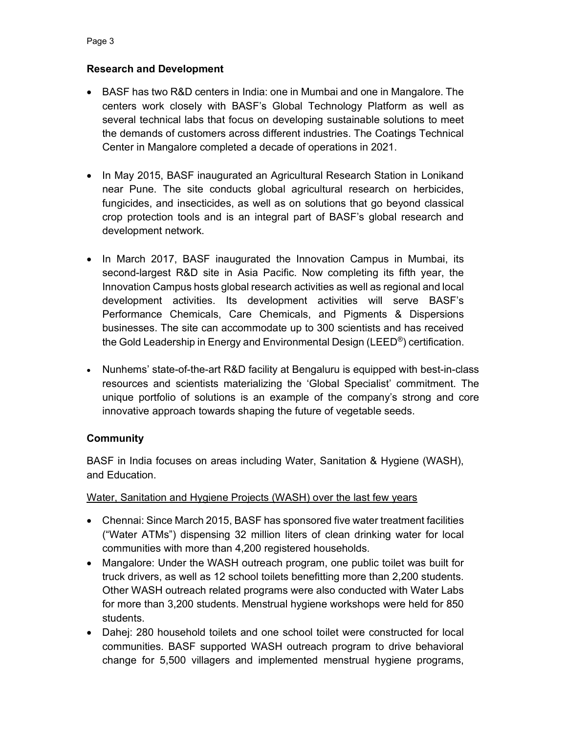#### Research and Development

- BASF has two R&D centers in India: one in Mumbai and one in Mangalore. The centers work closely with BASF's Global Technology Platform as well as several technical labs that focus on developing sustainable solutions to meet the demands of customers across different industries. The Coatings Technical Center in Mangalore completed a decade of operations in 2021.
- In May 2015, BASF inaugurated an Agricultural Research Station in Lonikand near Pune. The site conducts global agricultural research on herbicides, fungicides, and insecticides, as well as on solutions that go beyond classical crop protection tools and is an integral part of BASF's global research and development network.
- In March 2017, BASF inaugurated the Innovation Campus in Mumbai, its second-largest R&D site in Asia Pacific. Now completing its fifth year, the Innovation Campus hosts global research activities as well as regional and local development activities. Its development activities will serve BASF's Performance Chemicals, Care Chemicals, and Pigments & Dispersions businesses. The site can accommodate up to 300 scientists and has received the Gold Leadership in Energy and Environmental Design (LEED®) certification.
- Nunhems' state-of-the-art R&D facility at Bengaluru is equipped with best-in-class resources and scientists materializing the 'Global Specialist' commitment. The unique portfolio of solutions is an example of the company's strong and core innovative approach towards shaping the future of vegetable seeds.

#### **Community**

BASF in India focuses on areas including Water, Sanitation & Hygiene (WASH), and Education.

#### Water, Sanitation and Hygiene Projects (WASH) over the last few years

- Chennai: Since March 2015, BASF has sponsored five water treatment facilities ("Water ATMs") dispensing 32 million liters of clean drinking water for local communities with more than 4,200 registered households.
- Mangalore: Under the WASH outreach program, one public toilet was built for truck drivers, as well as 12 school toilets benefitting more than 2,200 students. Other WASH outreach related programs were also conducted with Water Labs for more than 3,200 students. Menstrual hygiene workshops were held for 850 students.
- Dahej: 280 household toilets and one school toilet were constructed for local communities. BASF supported WASH outreach program to drive behavioral change for 5,500 villagers and implemented menstrual hygiene programs,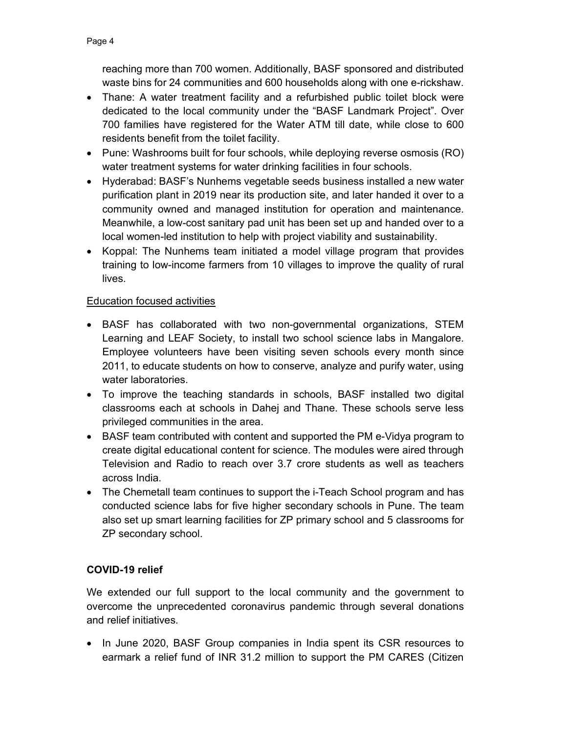reaching more than 700 women. Additionally, BASF sponsored and distributed waste bins for 24 communities and 600 households along with one e-rickshaw.

- Thane: A water treatment facility and a refurbished public toilet block were dedicated to the local community under the "BASF Landmark Project". Over 700 families have registered for the Water ATM till date, while close to 600 residents benefit from the toilet facility.
- Pune: Washrooms built for four schools, while deploying reverse osmosis (RO) water treatment systems for water drinking facilities in four schools.
- Hyderabad: BASF's Nunhems vegetable seeds business installed a new water purification plant in 2019 near its production site, and later handed it over to a community owned and managed institution for operation and maintenance. Meanwhile, a low-cost sanitary pad unit has been set up and handed over to a local women-led institution to help with project viability and sustainability.
- Koppal: The Nunhems team initiated a model village program that provides training to low-income farmers from 10 villages to improve the quality of rural lives.

#### Education focused activities

- BASF has collaborated with two non-governmental organizations, STEM Learning and LEAF Society, to install two school science labs in Mangalore. Employee volunteers have been visiting seven schools every month since 2011, to educate students on how to conserve, analyze and purify water, using water laboratories.
- To improve the teaching standards in schools, BASF installed two digital classrooms each at schools in Dahej and Thane. These schools serve less privileged communities in the area.
- BASF team contributed with content and supported the PM e-Vidya program to create digital educational content for science. The modules were aired through Television and Radio to reach over 3.7 crore students as well as teachers across India.
- The Chemetall team continues to support the i-Teach School program and has conducted science labs for five higher secondary schools in Pune. The team also set up smart learning facilities for ZP primary school and 5 classrooms for ZP secondary school.

#### COVID-19 relief

We extended our full support to the local community and the government to overcome the unprecedented coronavirus pandemic through several donations and relief initiatives.

• In June 2020, BASF Group companies in India spent its CSR resources to earmark a relief fund of INR 31.2 million to support the PM CARES (Citizen